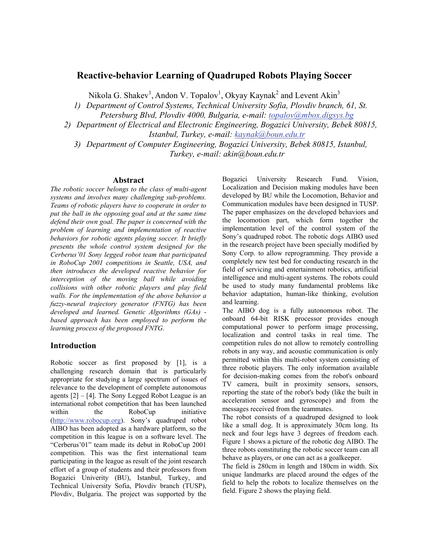## **Reactive-behavior Learning of Quadruped Robots Playing Soccer**

Nikola G. Shakev<sup>1</sup>, Andon V. Topalov<sup>1</sup>, Okyay Kaynak<sup>2</sup> and Levent Akin<sup>3</sup>

*1) Department of Control Systems, Technical University Sofia, Plovdiv branch, 61, St.* 

*Petersburg Blvd, Plovdiv 4000, Bulgaria, e-mail: [topalov@mbox.digsys.bg](mailto:topalov@mbox.digsys.bg)*

*2) Department of Electrical and Electronic Engineering, Bogazici University, Bebek 80815, Istanbul, Turkey, e-mail: [kaynak@boun.edu.tr](mailto:kaynak@boun.edu.tr)*

*3) Department of Computer Engineering, Bogazici University, Bebek 80815, Istanbul, Turkey, e-mail: akin@boun.edu.tr* 

#### **Abstract**

*The robotic soccer belongs to the class of multi-agent systems and involves many challenging sub-problems. Teams of robotic players have to cooperate in order to put the ball in the opposing goal and at the same time defend their own goal. The paper is concerned with the problem of learning and implementation of reactive behaviors for robotic agents playing soccer. It briefly presents the whole control system designed for the Cerberus'01 Sony legged robot team that participated in RoboCup 2001 competitions in Seattle, USA, and then introduces the developed reactive behavior for interception of the moving ball while avoiding collisions with other robotic players and play field walls. For the implementation of the above behavior a fuzzy-neural trajectory generator (FNTG) has been developed and learned. Genetic Algorithms (GAs) based approach has been employed to perform the learning process of the proposed FNTG.* 

### **Introduction**

Robotic soccer as first proposed by [1], is a challenging research domain that is particularly appropriate for studying a large spectrum of issues of relevance to the development of complete autonomous agents  $[2] - [4]$ . The Sony Legged Robot League is an international robot competition that has been launched within the RoboCup initiative [\(http://www.robocup.org](http://www.robocup.org/)). Sony's quadruped robot AIBO has been adopted as a hardware platform, so the competition in this league is on a software level. The "Cerberus'01" team made its debut in RoboCup 2001 competition. This was the first international team participating in the league as result of the joint research effort of a group of students and their professors from Bogazici Univerity (BU), Istanbul, Turkey, and Technical University Sofia, Plovdiv branch (TUSP), Plovdiv, Bulgaria. The project was supported by the

Bogazici University Research Fund. Vision, Localization and Decision making modules have been developed by BU while the Locomotion, Behavior and Communication modules have been designed in TUSP. The paper emphasizes on the developed behaviors and the locomotion part, which form together the implementation level of the control system of the Sony's quadruped robot. The robotic dogs AIBO used in the research project have been specially modified by Sony Corp. to allow reprogramming. They provide a completely new test bed for conducting research in the field of servicing and entertainment robotics, artificial intelligence and multi-agent systems. The robots could be used to study many fundamental problems like behavior adaptation, human-like thinking, evolution and learning.

The AIBO dog is a fully autonomous robot. The onboard 64-bit RISK processor provides enough computational power to perform image processing, localization and control tasks in real time. The competition rules do not allow to remotely controlling robots in any way, and acoustic communication is only permitted within this multi-robot system consisting of three robotic players. The only information available for decision-making comes from the robot's onboard TV camera, built in proximity sensors, sensors, reporting the state of the robot's body (like the built in acceleration sensor and gyroscope) and from the messages received from the teammates.

The robot consists of a quadruped designed to look like a small dog. It is approximately 30cm long. Its neck and four legs have 3 degrees of freedom each. Figure 1 shows a picture of the robotic dog AIBO. The three robots constituting the robotic soccer team can all behave as players, or one can act as a goalkeeper.

The field is 280cm in length and 180cm in width. Six unique landmarks are placed around the edges of the field to help the robots to localize themselves on the field. Figure 2 shows the playing field.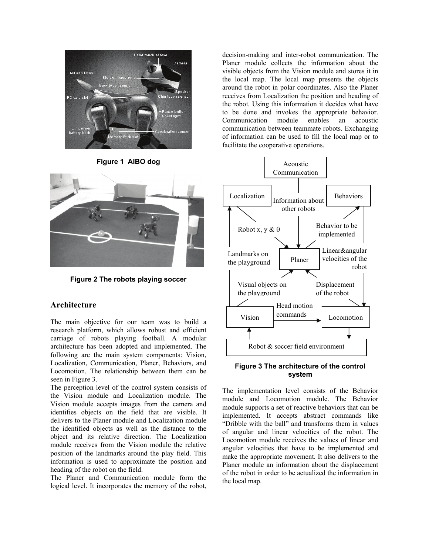

**Figure 1 AIBO dog** 



**Figure 2 The robots playing soccer**

# **Architecture**

The main objective for our team was to build a research platform, which allows robust and efficient carriage of robots playing football. A modular architecture has been adopted and implemented. The following are the main system components: Vision, Localization, Communication, Planer, Behaviors, and Locomotion. The relationship between them can be seen in Figure 3.

The perception level of the control system consists of the Vision module and Localization module. The Vision module accepts images from the camera and identifies objects on the field that are visible. It delivers to the Planer module and Localization module the identified objects as well as the distance to the object and its relative direction. The Localization module receives from the Vision module the relative position of the landmarks around the play field. This information is used to approximate the position and heading of the robot on the field.

The Planer and Communication module form the logical level. It incorporates the memory of the robot,

decision-making and inter-robot communication. The Planer module collects the information about the visible objects from the Vision module and stores it in the local map. The local map presents the objects around the robot in polar coordinates. Also the Planer receives from Localization the position and heading of the robot. Using this information it decides what have to be done and invokes the appropriate behavior. Communication module enables an acoustic communication between teammate robots. Exchanging of information can be used to fill the local map or to facilitate the cooperative operations.



### **Figure 3 The architecture of the control system**

The implementation level consists of the Behavior module and Locomotion module. The Behavior module supports a set of reactive behaviors that can be implemented. It accepts abstract commands like "Dribble with the ball" and transforms them in values of angular and linear velocities of the robot. The Locomotion module receives the values of linear and angular velocities that have to be implemented and make the appropriate movement. It also delivers to the Planer module an information about the displacement of the robot in order to be actualized the information in the local map.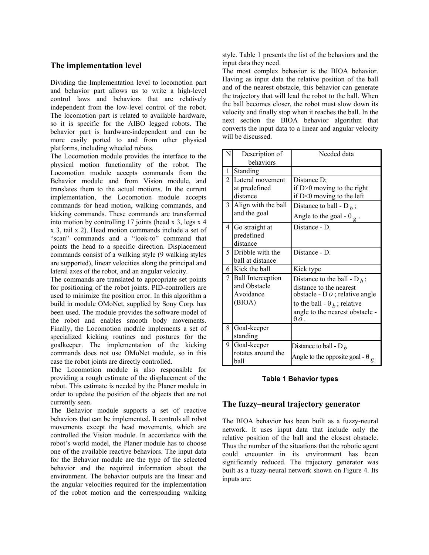## **The implementation level**

Dividing the Implementation level to locomotion part and behavior part allows us to write a high-level control laws and behaviors that are relatively independent from the low-level control of the robot. The locomotion part is related to available hardware, so it is specific for the AIBO legged robots. The behavior part is hardware-independent and can be more easily ported to and from other physical platforms, including wheeled robots.

The Locomotion module provides the interface to the physical motion functionality of the robot. The Locomotion module accepts commands from the Behavior module and from Vision module, and translates them to the actual motions. In the current implementation, the Locomotion module accepts commands for head motion, walking commands, and kicking commands. These commands are transformed into motion by controlling 17 joints (head  $x$  3, legs  $x$  4 x 3, tail x 2). Head motion commands include a set of "scan" commands and a "look-to" command that points the head to a specific direction. Displacement commands consist of a walking style (9 walking styles are supported), linear velocities along the principal and lateral axes of the robot, and an angular velocity.

The commands are translated to appropriate set points for positioning of the robot joints. PID-controllers are used to minimize the position error. In this algorithm a build in module OMoNet, supplied by Sony Corp. has been used. The module provides the software model of the robot and enables smooth body movements. Finally, the Locomotion module implements a set of specialized kicking routines and postures for the goalkeeper. The implementation of the kicking commands does not use OMoNet module, so in this case the robot joints are directly controlled.

The Locomotion module is also responsible for providing a rough estimate of the displacement of the robot. This estimate is needed by the Planer module in order to update the position of the objects that are not currently seen.

The Behavior module supports a set of reactive behaviors that can be implemented. It controls all robot movements except the head movements, which are controlled the Vision module. In accordance with the robot's world model, the Planer module has to choose one of the available reactive behaviors. The input data for the Behavior module are the type of the selected behavior and the required information about the environment. The behavior outputs are the linear and the angular velocities required for the implementation of the robot motion and the corresponding walking

style. Table 1 presents the list of the behaviors and the input data they need.

The most complex behavior is the BIOA behavior. Having as input data the relative position of the ball and of the nearest obstacle, this behavior can generate the trajectory that will lead the robot to the ball. When the ball becomes closer, the robot must slow down its velocity and finally stop when it reaches the ball. In the next section the BIOA behavior algorithm that converts the input data to a linear and angular velocity will be discussed.

| N              | Description of             | Needed data                                       |
|----------------|----------------------------|---------------------------------------------------|
|                | behaviors                  |                                                   |
| 1              | Standing                   |                                                   |
| $\overline{2}$ | Lateral movement           | Distance D;                                       |
|                | at predefined              | if $D>0$ moving to the right                      |
|                | distance                   | if $D<0$ moving to the left                       |
| 3              | Align with the ball        | Distance to ball - D <sub><i>h</i></sub> ;        |
|                | and the goal               | Angle to the goal - $\theta_{\alpha}$ .           |
| 4              | Go straight at             | Distance - D.                                     |
|                | predefined                 |                                                   |
|                | distance                   |                                                   |
| 5.             | Dribble with the           | Distance - D.                                     |
|                | ball at distance           |                                                   |
|                | 6 Kick the ball            | Kick type                                         |
| 7              | <b>Ball Interception</b>   | Distance to the ball - $D_h$ ;                    |
|                | and Obstacle               | distance to the nearest                           |
|                | Avoidance                  | obstacle - $DQ$ ; relative angle                  |
|                | (BIOA)                     | to the ball - $\theta_h$ ; relative               |
|                |                            | angle to the nearest obstacle -<br>$\theta$ $o$ . |
| 8              | Goal-keeper                |                                                   |
|                | standing                   |                                                   |
| 9              | Goal-keeper                | Distance to ball - D <sub><math>h</math></sub>    |
|                | rotates around the<br>ball | Angle to the opposite goal - $\theta_{\varrho}$   |

### **Table 1 Behavior types**

### **The fuzzy–neural trajectory generator**

The BIOA behavior has been built as a fuzzy-neural network. It uses input data that include only the relative position of the ball and the closest obstacle. Thus the number of the situations that the robotic agent could encounter in its environment has been significantly reduced. The trajectory generator was built as a fuzzy-neural network shown on Figure 4. Its inputs are: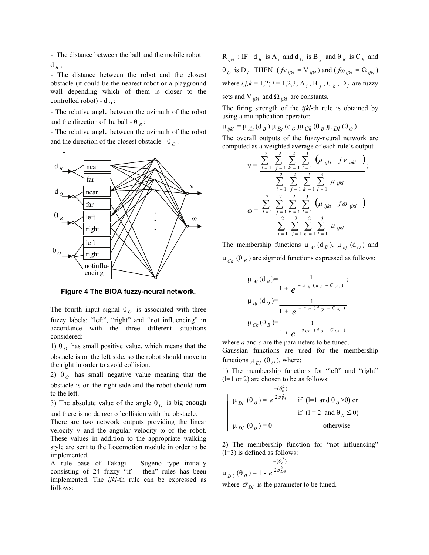- The distance between the ball and the mobile robot –  $d_B$ ;

- The distance between the robot and the closest obstacle (it could be the nearest robot or a playground wall depending which of them is closer to the controlled robot) -  $d_{\Omega}$ ;

- The relative angle between the azimuth of the robot and the direction of the ball -  $\theta_B$ ;

- The relative angle between the azimuth of the robot and the direction of the closest obstacle -  $\theta_{Q}$ .



**Figure 4 The BIOA fuzzy-neural network.** 

The fourth input signal  $\theta_o$  is associated with three fuzzy labels: "left", "right" and "not influencing" in accordance with the three different situations considered:

1)  $\theta_o$  has small positive value, which means that the obstacle is on the left side, so the robot should move to the right in order to avoid collision.

2)  $\theta_o$  has small negative value meaning that the obstacle is on the right side and the robot should turn to the left.

3) The absolute value of the angle  $\theta_o$  is big enough and there is no danger of collision with the obstacle.

There are two network outputs providing the linear velocity ν and the angular velocity ω of the robot. These values in addition to the appropriate walking style are sent to the Locomotion module in order to be implemented.

A rule base of Takagi – Sugeno type initially consisting of 24 fuzzy "if – then" rules has been implemented. The *ijkl*-th rule can be expressed as follows:

 $R_{ijkl}$ : IF d<sub>B</sub> is A<sub>i</sub> and d<sub>O</sub> is B<sub>j</sub> and  $\theta_B$  is C<sub>k</sub> and  $\theta$ <sub>*O*</sub> is D<sub>*l*</sub> THEN (*f*v<sub>*ijkl</sub>* = V<sub>*ijkl*</sub>) and (*f* $\omega$ <sub>*ijkl*</sub> =  $\Omega$ <sub>*ijkl*</sub>)</sub> where  $i,j,k = 1,2; l = 1,2,3; A_i, B_j, C_k, D_l$  are fuzzy sets and V  $_{iikl}$  and  $\Omega_{iikl}$  are constants.

The firing strength of the *ijkl*-th rule is obtained by using a multiplication operator:

 $\mu_{ijkl} = \mu_{Ai} (d_B) \mu_{Bi} (d_O) \mu_{Ck} (\theta_B) \mu_{Dl} (\theta_O)$ 

The overall outputs of the fuzzy-neural network are computed as a weighted average of each rule's output

$$
v = \frac{\sum_{i=1}^{2} \sum_{j=1}^{2} \sum_{k=1}^{2} \sum_{l=1}^{3} (\mu_{ijkl} f v_{ijkl})}{\sum_{i=1}^{2} \sum_{j=1}^{2} \sum_{k=1}^{2} \sum_{l=1}^{3} \mu_{ijkl}};
$$
  

$$
\omega = \frac{\sum_{i=1}^{2} \sum_{j=1}^{2} \sum_{k=1}^{2} \sum_{l=1}^{3} (\mu_{ijkl} f \omega_{ijkl})}{\sum_{i=1}^{2} \sum_{j=1}^{2} \sum_{k=1}^{2} \sum_{l=1}^{3} \mu_{ijkl}}
$$

The membership functions  $\mu_{Ai}$  (d<sub>B</sub>),  $\mu_{Bi}$  (d<sub>O</sub>) and  $μ<sub>CK</sub> (θ<sub>B</sub>)$  are sigmoid functions expressed as follows:

$$
\mu_{Ai}(\mathbf{d}_{B}) = \frac{1}{1 + e^{-a_{Ai}(d_{B} - C_{Ai})}};
$$
\n
$$
\mu_{Bj}(\mathbf{d}_{O}) = \frac{1}{1 + e^{-a_{Bj}(d_{O} - C_{Bj})}}
$$
\n
$$
\mu_{Ck}(\theta_{B}) = \frac{1}{1 + e^{-a_{CK}(d_{O} - C_{CK})}}
$$

where *a* and *c* are the parameters to be tuned. Gaussian functions are used for the membership functions  $\mu_{DI}$  ( $\theta_{O}$ ), where:

1) The membership functions for "left" and "right"  $(l=1 \text{ or } 2)$  are chosen to be as follows:

$$
\mu_{Dl}(\theta_o) = e^{\frac{-(\theta_o^2)}{2\sigma_{Dl}^2}}
$$
 if (l=1 and  $\theta_o$  > 0) or  
if (l = 2 and  $\theta_o \le 0$ )  
 $\mu_{Dl}(\theta_o) = 0$  otherwise

2) The membership function for "not influencing"  $(l=3)$  is defined as follows:

$$
\mu_{D3}(\theta_o) = 1 - e^{\frac{-(\theta_o^2)}{2\sigma_{D3}^2}}
$$

where  $\sigma_{Dl}$  is the parameter to be tuned.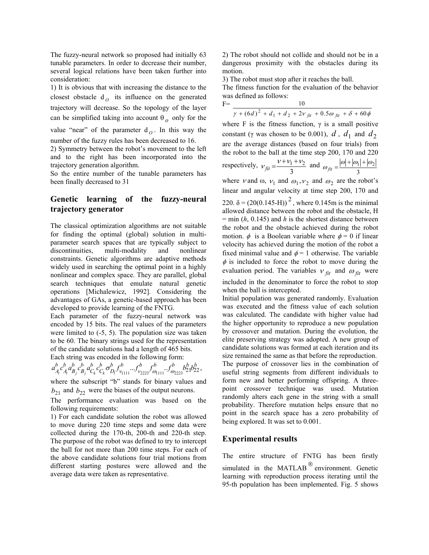The fuzzy-neural network so proposed had initially 63 tunable parameters. In order to decrease their number, several logical relations have been taken further into consideration:

1) It is obvious that with increasing the distance to the closest obstacle  $d_{\theta}$  its influence on the generated trajectory will decrease. So the topology of the layer can be simplified taking into account  $\theta_o$  only for the

value "near" of the parameter  $d_{\theta}$ . In this way the number of the fuzzy rules has been decreased to 16.

2) Symmetry between the robot's movement to the left and to the right has been incorporated into the trajectory generation algorithm.

So the entire number of the tunable parameters has been finally decreased to 31

# **Genetic learning of the fuzzy-neural trajectory generator**

The classical optimization algorithms are not suitable for finding the optimal (global) solution in multiparameter search spaces that are typically subject to discontinuities, multi-modality and nonlinear constraints. Genetic algorithms are adaptive methods widely used in searching the optimal point in a highly nonlinear and complex space. They are parallel, global search techniques that emulate natural genetic operations [Michalewicz, 1992]. Considering the advantages of GAs, a genetic-based approach has been developed to provide learning of the FNTG.

Each parameter of the fuzzy-neural network was encoded by 15 bits. The real values of the parameters were limited to (-5, 5). The population size was taken to be 60. The binary strings used for the representation of the candidate solutions had a length of 465 bits.

Each string was encoded in the following form: b  $f^b$   $f^b$   $b^b$   $b^b$ *v b v b D b C b C b B b B b A*  $a_{A_i}^b c_{A_i}^b a_{B_j}^b c_{B_j}^b a_{C_k}^b c_{C_k}^b \sigma_{D_l}^b f_{v_{1111}}^b ... f_{v_{2223}}^b f_{\omega_{1111}}^b ... f_{\omega_{2223}}^b b_{21}^b b_{22}^b,$ 

where the subscript "b" stands for binary values and  $b_{21}$  and  $b_{22}$  were the biases of the output neurons.

The performance evaluation was based on the following requirements:

1) For each candidate solution the robot was allowed to move during 220 time steps and some data were collected during the 170-th, 200-th and 220-th step. The purpose of the robot was defined to try to intercept the ball for not more than 200 time steps. For each of the above candidate solutions four trial motions from different starting postures were allowed and the average data were taken as representative.

2) The robot should not collide and should not be in a dangerous proximity with the obstacles during its motion.

3) The robot must stop after it reaches the ball. The fitness function for the evaluation of the behavior was defined as follows: F= 10

 $\gamma+(6d)^2+d_1+d_2+2v_{fit}+0.5\omega_{fit}+\delta+60\phi$  $+ (6d)^2 + d_1 + d_2 + 2v_{fit} + 0.5\omega_{fit} + \delta +$ 

where F is the fitness function,  $\gamma$  is a small positive constant ( $\gamma$  was chosen to be 0.001),  $d$ ,  $d_1$  and  $d_2$ are the average distances (based on four trials) from the robot to the ball at the time step 200, 170 and 220 respectively, 3  $v_{fit} = \frac{v + v_1 + v_2}{3}$  and  $\omega_{fit} = \frac{|\omega| + |\omega_1|}{3}$  $\omega_{fit} = \frac{|\omega| + |\omega_1| + |\omega_2|}{2}$ where v and  $\omega$ ,  $v_1$  and  $\omega_1$ ,  $v_2$  and  $\omega_2$  are the robot's

linear and angular velocity at time step 200, 170 and 220.  $\delta = (20(0.145 \text{-H}))^{2}$ , where 0.145m is the minimal allowed distance between the robot and the obstacle, H  $=$  min (*h*, 0.145) and *h* is the shortest distance between the robot and the obstacle achieved during the robot motion.  $\phi$  is a Boolean variable where  $\phi = 0$  if linear velocity has achieved during the motion of the robot a fixed minimal value and  $\phi = 1$  otherwise. The variable  $\phi$  is included to force the robot to move during the evaluation period. The variables  $v_{fit}$  and  $\omega_{fit}$  were included in the denominator to force the robot to stop when the ball is intercepted.

Initial population was generated randomly. Evaluation was executed and the fitness value of each solution was calculated. The candidate with higher value had the higher opportunity to reproduce a new population by crossover and mutation. During the evolution, the elite preserving strategy was adopted. A new group of candidate solutions was formed at each iteration and its size remained the same as that before the reproduction. The purpose of crossover lies in the combination of useful string segments from different individuals to form new and better performing offspring. A threepoint crossover technique was used. Mutation randomly alters each gene in the string with a small probability. Therefore mutation helps ensure that no point in the search space has a zero probability of being explored. It was set to 0.001.

## **Experimental results**

The entire structure of FNTG has been firstly simulated in the MATLAB $^{\circledR}$  environment. Genetic learning with reproduction process iterating until the 95-th population has been implemented. Fig. 5 shows